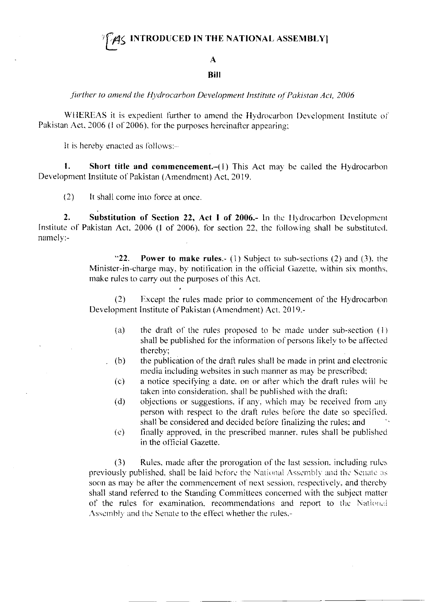## **INTRODUCED IN THE NATIONAL ASSEMBLY**

## $\mathbf{A}$

## **Bill**

further to amend the Hydrocarbon Development Institute of Pakistan Act, 2006

WHEREAS it is expedient further to amend the Hydrocarbon Development Institute of Pakistan Act, 2006 (I of 2006), for the purposes hereinafter appearing;

It is hereby enacted as follows:-

1. Short title and commencement.-(1) This Act may be called the Hydrocarbon Development Institute of Pakistan (Amendment) Act, 2019.

 $(2)$ It shall come into force at once.

 $2.$ Substitution of Section 22, Act I of 2006.- In the Hydrocarbon Development Institute of Pakistan Act, 2006 (1 of 2006), for section 22, the following shall be substituted.  $namely: -$ 

> $-22.$ **Power to make rules.-** (1) Subject to sub-sections (2) and (3), the Minister-in-charge may, by notification in the official Gazette, within six months, make rules to carry out the purposes of this Act.

> $(2)$ Except the rules made prior to commencement of the Hydrocarbon Development Institute of Pakistan (Amendment) Act. 2019.-

- the draft of the rules proposed to be made under sub-section  $(1)$  $(a)$ shall be published for the information of persons likely to be affected thereby:
- $(b)$ the publication of the draft rules shall be made in print and electronic media including websites in such manner as may be prescribed;
- a notice specifying a date, on or after which the draft rules will be  $(c)$ taken into consideration, shall be published with the draft;
- objections or suggestions, if any, which may be received from any  $(d)$ person with respect to the draft rules before the date so specified. shall be considered and decided before finalizing the rules; and
- finally approved, in the prescribed manner, rules shall be published  $(e)$ in the official Gazette.

Rules, made after the prorogation of the last session, including rules  $(3)$ previously published, shall be laid before the National Assembly and the Senate as soon as may be after the commencement of next session, respectively, and thereby shall stand referred to the Standing Committees concerned with the subject matter of the rules for examination, recommendations and report to the National Assembly and the Senate to the effect whether the rules,-